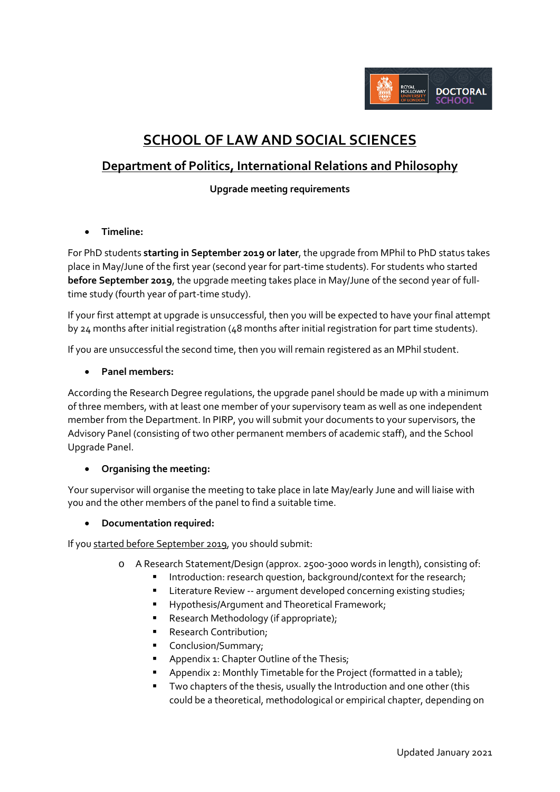

# **SCHOOL OF LAW AND SOCIAL SCIENCES**

## **Department of Politics, International Relations and Philosophy**

## **Upgrade meeting requirements**

• **Timeline:**

For PhD students **starting in September 2019 or later**, the upgrade from MPhil to PhD status takes place in May/June of the first year (second year for part-time students). For students who started **before September 2019**, the upgrade meeting takes place in May/June of the second year of fulltime study (fourth year of part-time study).

If your first attempt at upgrade is unsuccessful, then you will be expected to have your final attempt by 24 months after initial registration (48 months after initial registration for part time students).

If you are unsuccessful the second time, then you will remain registered as an MPhil student.

## • **Panel members:**

According the Research Degree regulations, the upgrade panel should be made up with a minimum of three members, with at least one member of your supervisory team as well as one independent member from the Department. In PIRP, you will submit your documents to your supervisors, the Advisory Panel (consisting of two other permanent members of academic staff), and the School Upgrade Panel.

## • **Organising the meeting:**

Your supervisor will organise the meeting to take place in late May/early June and will liaise with you and the other members of the panel to find a suitable time.

#### • **Documentation required:**

If you started before September 2019, you should submit:

- o A Research Statement/Design (approx. 2500-3000 words in length), consisting of:
	- Introduction: research question, background/context for the research;
	- Literature Review -- argument developed concerning existing studies;
	- **Hypothesis/Argument and Theoretical Framework;**
	- Research Methodology (if appropriate);
	- **Research Contribution;**
	- Conclusion/Summary;
	- Appendix 1: Chapter Outline of the Thesis;
	- **Appendix 2: Monthly Timetable for the Project (formatted in a table);**
	- **TWO chapters of the thesis, usually the Introduction and one other (this** could be a theoretical, methodological or empirical chapter, depending on